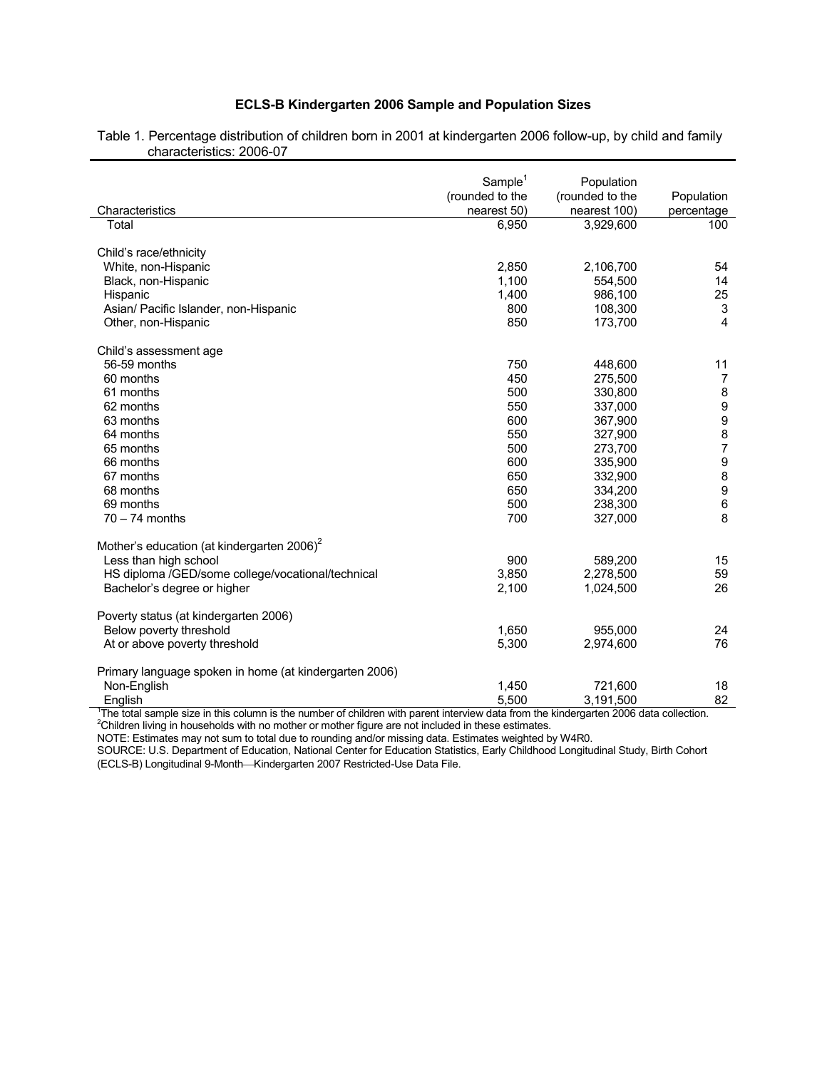## **ECLS-B Kindergarten 2006 Sample and Population Sizes**

|                                                        | Sample <sup>1</sup> | Population      |                           |
|--------------------------------------------------------|---------------------|-----------------|---------------------------|
|                                                        | (rounded to the     | (rounded to the | Population                |
| Characteristics                                        | nearest 50)         | nearest 100)    | percentage                |
| Total                                                  | 6,950               | 3,929,600       | 100                       |
|                                                        |                     |                 |                           |
| Child's race/ethnicity                                 |                     |                 |                           |
| White, non-Hispanic                                    | 2,850               | 2,106,700       | 54                        |
| Black, non-Hispanic                                    | 1,100               | 554,500         | 14                        |
| Hispanic                                               | 1,400               | 986,100         | 25                        |
| Asian/ Pacific Islander, non-Hispanic                  | 800                 | 108,300         | $\ensuremath{\mathsf{3}}$ |
| Other, non-Hispanic                                    | 850                 | 173,700         | 4                         |
| Child's assessment age                                 |                     |                 |                           |
| 56-59 months                                           | 750                 | 448,600         | 11                        |
| 60 months                                              | 450                 | 275,500         | $\overline{7}$            |
| 61 months                                              | 500                 | 330,800         | 8                         |
| 62 months                                              | 550                 | 337,000         |                           |
| 63 months                                              | 600                 | 367,900         | 9<br>9<br>8<br>7          |
| 64 months                                              | 550                 | 327,900         |                           |
| 65 months                                              | 500                 | 273,700         |                           |
| 66 months                                              | 600                 | 335,900         |                           |
| 67 months                                              | 650                 | 332,900         | 9<br>9<br>9<br>6          |
| 68 months                                              | 650                 | 334,200         |                           |
| 69 months                                              | 500                 | 238,300         |                           |
| $70 - 74$ months                                       | 700                 | 327,000         | 8                         |
|                                                        |                     |                 |                           |
| Mother's education (at kindergarten 2006) <sup>2</sup> |                     |                 |                           |
| Less than high school                                  | 900                 | 589,200         | 15                        |
| HS diploma /GED/some college/vocational/technical      | 3,850               | 2,278,500       | 59                        |
| Bachelor's degree or higher                            | 2,100               | 1,024,500       | 26                        |
|                                                        |                     |                 |                           |
| Poverty status (at kindergarten 2006)                  |                     |                 |                           |
| Below poverty threshold                                | 1,650               | 955,000         | 24                        |
| At or above poverty threshold                          | 5,300               | 2,974,600       | 76                        |
| Primary language spoken in home (at kindergarten 2006) |                     |                 |                           |
| Non-English                                            | 1,450               | 721,600         | 18                        |
| Enalish                                                | 5.500               | 3.191.500       | 82                        |

Table 1. Percentage distribution of children born in 2001 at kindergarten 2006 follow-up, by child and family characteristics: 2006-07

English  $5,500$   $3,191,500$   $3,191,500$   $3,191$ ,  $500$   $3,191$ ,  $500$   $3,191$ ,  $500$   $3,191$ ,  $500$   $3,191$ ,  $500$   $3,191$ ,  $500$   $3,191$ ,  $500$   $3,191$ ,  $500$   $3,191$ ,  $500$   $3,191$ ,  $500$   $3,191$ ,  $500$   $3,191$ ,  $500$ 

NOTE: Estimates may not sum to total due to rounding and/or missing data. Estimates weighted by W4R0.

SOURCE: U.S. Department of Education, National Center for Education Statistics, Early Childhood Longitudinal Study, Birth Cohort (ECLS-B) Longitudinal 9-Month-Kindergarten 2007 Restricted-Use Data File.